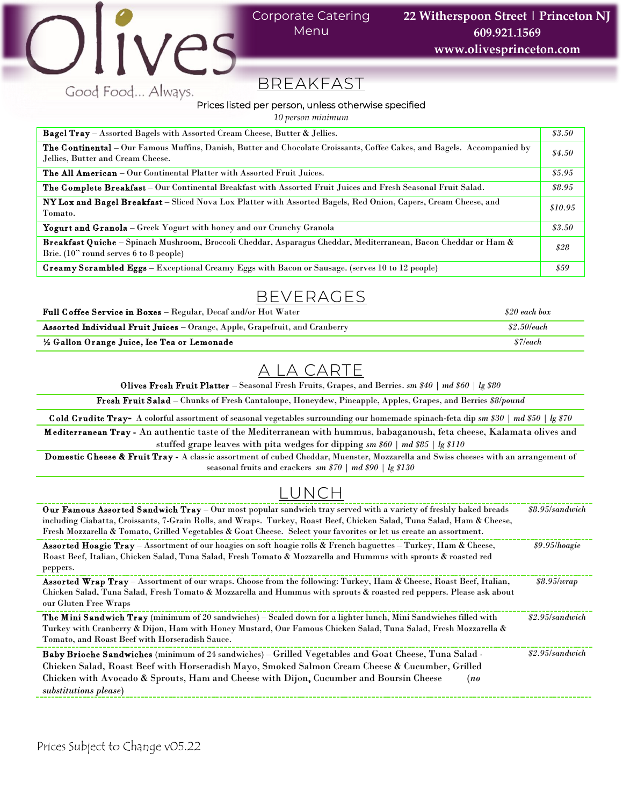

### Corporate Catering Menu

# BREAKFAST

#### Prices listed per person, unless otherwise specified

*10 person minimum*

| <b>Bagel Tray</b> – Assorted Bagels with Assorted Cream Cheese, Butter & Jellies.                                                                                   | \$3.50  |
|---------------------------------------------------------------------------------------------------------------------------------------------------------------------|---------|
| <b>The Continental</b> – Our Famous Muffins, Danish, Butter and Chocolate Croissants, Coffee Cakes, and Bagels. Accompanied by<br>Jellies, Butter and Cream Cheese. | \$4.50  |
| <b>The All American</b> – Our Continental Platter with Assorted Fruit Juices.                                                                                       | \$5.95  |
| <b>The Complete Breakfast</b> – Our Continental Breakfast with Assorted Fruit Juices and Fresh Seasonal Fruit Salad.                                                | \$8.95  |
| NY Lox and Bagel Breakfast – Sliced Nova Lox Platter with Assorted Bagels, Red Onion, Capers, Cream Cheese, and<br>Tomato.                                          | \$10.95 |
| <b>Yogurt and Granola</b> – Greek Yogurt with honey and our Crunchy Granola                                                                                         | \$3.50  |
| Breakfast Quiche - Spinach Mushroom, Broccoli Cheddar, Asparagus Cheddar, Mediterranean, Bacon Cheddar or Ham &<br>Brie. $(10"$ round serves 6 to 8 people)         | \$28    |
| <b>Creamy Scrambled Eggs</b> – Exceptional Creamy Eggs with Bacon or Sausage. (serves 10 to 12 people)                                                              | \$59    |

# BEVERAGES

Full C offee Service in Boxes – Regular, Decaf and/or Hot Water *\$20 each box*

| Assorted Individual Fruit Juices - Orange, Apple, Grapefruit, and Cranberry | \$2.50/each |
|-----------------------------------------------------------------------------|-------------|
| 1/2 Gallon Orange Juice, Ice Tea or Lemonade                                | \$7/each    |
|                                                                             |             |

## A LA CARTE

Olives Fresh Fruit Platter – Seasonal Fresh Fruits, Grapes, and Berries. *sm \$40 | md \$60 | lg \$80*

Fresh Fruit Salad – Chunks of Fresh Cantaloupe, Honeydew, Pineapple, Apples, Grapes, and Berries *\$8/pound*

C old C rudite Tray- A colorful assortment of seasonal vegetables surrounding our homemade spinach-feta dip *sm \$30 | md \$50 | lg \$70* M editerranean Tray - An authentic taste of the Mediterranean with hummus, babaganoush, feta cheese, Kalamata olives and stuffed grape leaves with pita wedges for dipping *sm \$60 | md \$85 | lg \$110*

Domestic Cheese & Fruit Tray - A classic assortment of cubed Cheddar, Muenster, Mozzarella and Swiss cheeses with an arrangement of seasonal fruits and crackers *sm \$70 | md \$90 | lg \$130*

# LUNCH

| <b>Our Famous Assorted Sandwich Tray</b> – Our most popular sandwich tray served with a variety of freshly baked breads<br>including Ciabatta, Croissants, 7-Grain Rolls, and Wraps. Turkey, Roast Beef, Chicken Salad, Tuna Salad, Ham & Cheese,<br>Fresh Mozzarella & Tomato, Grilled Vegetables & Goat Cheese. Select your favorites or let us create an assortment. | \$8.95/sandwich    |
|-------------------------------------------------------------------------------------------------------------------------------------------------------------------------------------------------------------------------------------------------------------------------------------------------------------------------------------------------------------------------|--------------------|
| Assorted Hoagie Tray - Assortment of our hoagies on soft hoagie rolls & French baguettes - Turkey, Ham & Cheese,<br>Roast Beef, Italian, Chicken Salad, Tuna Salad, Fresh Tomato & Mozzarella and Hummus with sprouts & roasted red<br>peppers.                                                                                                                         | \$9.95/hoagie      |
| Assorted Wrap Tray - Assortment of our wraps. Choose from the following: Turkey, Ham & Cheese, Roast Beef, Italian,<br>Chicken Salad, Tuna Salad, Fresh Tomato & Mozzarella and Hummus with sprouts & roasted red peppers. Please ask about<br>our Gluten Free Wraps                                                                                                    | \$8.95/wrap        |
| The Mini Sandwich Tray (minimum of 20 sandwiches) – Scaled down for a lighter lunch, Mini Sandwiches filled with<br>Turkey with Cranberry & Dijon, Ham with Honey Mustard, Our Famous Chicken Salad, Tuna Salad, Fresh Mozzarella &<br>Tomato, and Roast Beef with Horseradish Sauce.                                                                                   | \$2.95/s and which |
| Baby Brioche Sandwiches (minimum of 24 sandwiches) – Grilled Vegetables and Goat Cheese, Tuna Salad .<br>Chicken Salad, Roast Beef with Horseradish Mayo, Smoked Salmon Cream Cheese & Cucumber, Grilled<br>Chicken with Avocado & Sprouts, Ham and Cheese with Dijon, Cucumber and Boursin Cheese<br>(no)<br>substitutions please)                                     | \$2.95/s and which |